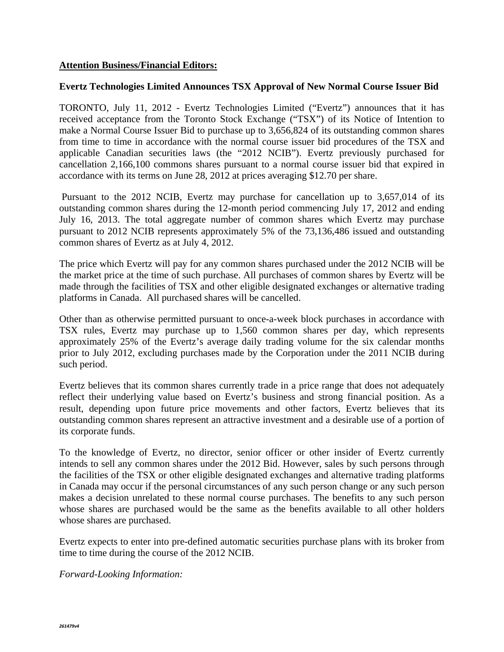## **Attention Business/Financial Editors:**

## **Evertz Technologies Limited Announces TSX Approval of New Normal Course Issuer Bid**

TORONTO, July 11, 2012 - Evertz Technologies Limited ("Evertz") announces that it has received acceptance from the Toronto Stock Exchange ("TSX") of its Notice of Intention to make a Normal Course Issuer Bid to purchase up to 3,656,824 of its outstanding common shares from time to time in accordance with the normal course issuer bid procedures of the TSX and applicable Canadian securities laws (the "2012 NCIB"). Evertz previously purchased for cancellation 2,166,100 commons shares pursuant to a normal course issuer bid that expired in accordance with its terms on June 28, 2012 at prices averaging \$12.70 per share.

 Pursuant to the 2012 NCIB, Evertz may purchase for cancellation up to 3,657,014 of its outstanding common shares during the 12-month period commencing July 17, 2012 and ending July 16, 2013. The total aggregate number of common shares which Evertz may purchase pursuant to 2012 NCIB represents approximately 5% of the 73,136,486 issued and outstanding common shares of Evertz as at July 4, 2012.

The price which Evertz will pay for any common shares purchased under the 2012 NCIB will be the market price at the time of such purchase. All purchases of common shares by Evertz will be made through the facilities of TSX and other eligible designated exchanges or alternative trading platforms in Canada. All purchased shares will be cancelled.

Other than as otherwise permitted pursuant to once-a-week block purchases in accordance with TSX rules, Evertz may purchase up to 1,560 common shares per day, which represents approximately 25% of the Evertz's average daily trading volume for the six calendar months prior to July 2012, excluding purchases made by the Corporation under the 2011 NCIB during such period.

Evertz believes that its common shares currently trade in a price range that does not adequately reflect their underlying value based on Evertz's business and strong financial position. As a result, depending upon future price movements and other factors, Evertz believes that its outstanding common shares represent an attractive investment and a desirable use of a portion of its corporate funds.

To the knowledge of Evertz, no director, senior officer or other insider of Evertz currently intends to sell any common shares under the 2012 Bid. However, sales by such persons through the facilities of the TSX or other eligible designated exchanges and alternative trading platforms in Canada may occur if the personal circumstances of any such person change or any such person makes a decision unrelated to these normal course purchases. The benefits to any such person whose shares are purchased would be the same as the benefits available to all other holders whose shares are purchased.

Evertz expects to enter into pre-defined automatic securities purchase plans with its broker from time to time during the course of the 2012 NCIB.

*Forward-Looking Information:*